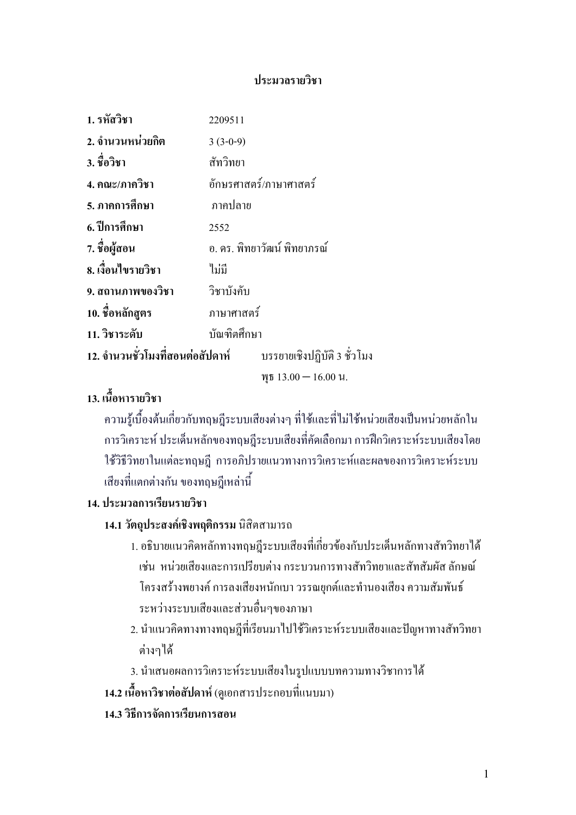### ประมวลรายวิชา

| 1. รหัสวิชา                                                  | 2209511     |                              |
|--------------------------------------------------------------|-------------|------------------------------|
| ่ 2. จำนวนหน่วยกิต                                           | $3(3-0-9)$  |                              |
| 3. ชื่อวิชา                                                  | สัทวิทยา    |                              |
| 4. คณะ/ภาควิชา                                               |             | อักษรศาสตร์/ภาษาศาสตร์       |
| 5. ภาคการศึกษา                                               | ภาคปลาย     |                              |
| 6. ปีการศึกษา                                                | 2552        |                              |
| 7. ชื่อผู้สอน                                                |             | ้อ. คร. พิทยาวัฒน์ พิทยาภรณ์ |
| 8. เงื้อนไขรายวิชา                                           | ไม่มี       |                              |
| 9. สถานภาพของวิชา วิชาบังคับ                                 |             |                              |
| 10. ชื่อหลักสูตร                                             | ภาษาศาสตร์  |                              |
| 11. วิชาระดับ                                                | บัณฑิตศึกษา |                              |
| 12. จำนวนชั่วโมงที่สอนต่อสัปดาห์ บรรยายเชิงปฏิบัติ 3 ชั่วโมง |             |                              |
|                                                              |             | $\text{Wb}$ 13.00 - 16.00 u. |

# 13. เนื้อหารายวิชา

ี ความรู้เบื้องต้นเกี่ยวกับทฤษฎีระบบเสียงต่างๆ ที่ใช้และที่ไม่ใช้หน่วยเสียงเป็นหน่วยหลักใน ิ การวิเคราะห์ ประเด็นหลักของทฤษฎีระบบเสียงที่คัดเลือกมา การฝึกวิเคราะห์ระบบเสียงโดย ใช้วิธีวิทยาในแต่ละทฤษฎี การอภิปรายแนวทางการวิเคราะห์และผลของการวิเคราะห์ระบบ ้เสียงที่แตกต่างกัน ของทฤษฎีเหล่านี้

# 14. ประมวลการเรียนรายวิชา

# 14.1 วัตถุประสงค์เชิงพฤติกรรม นิสิตสามารถ

- 1. อธิบายแนวคิดหลักทางทฤษฎีระบบเสียงที่เกี่ยวข้องกับประเด็นหลักทางสัทวิทยาได้ ้เช่น หน่วยเสียงและการเปรียบต่าง กระบวนการทางสัทวิทยาและสัทสัมผัส ลักษณ์ โครงสร้างพยางค์ การลงเสียงหนักเบา วรรณยกต์และทำนองเสียง ความสัมพันธ์ ระหว่างระบบเสียงและส่วนอื่นๆของภาษา
- 2. นำแนวคิดทางทางทฤษฎีที่เรียนมาไปใช้วิเคราะห์ระบบเสียงและปัญหาทางสัทวิทยา ต่างๆใด้
- 3. นำเสนอผลการวิเคราะห์ระบบเสียงในรูปแบบบทความทางวิชาการได้
- 14.2 เนื้อหาวิชาต่อสัปดาห์ (ดูเอกสารประกอบที่แนบมา)
- 14.3 วิธีการจัดการเรียนการสอน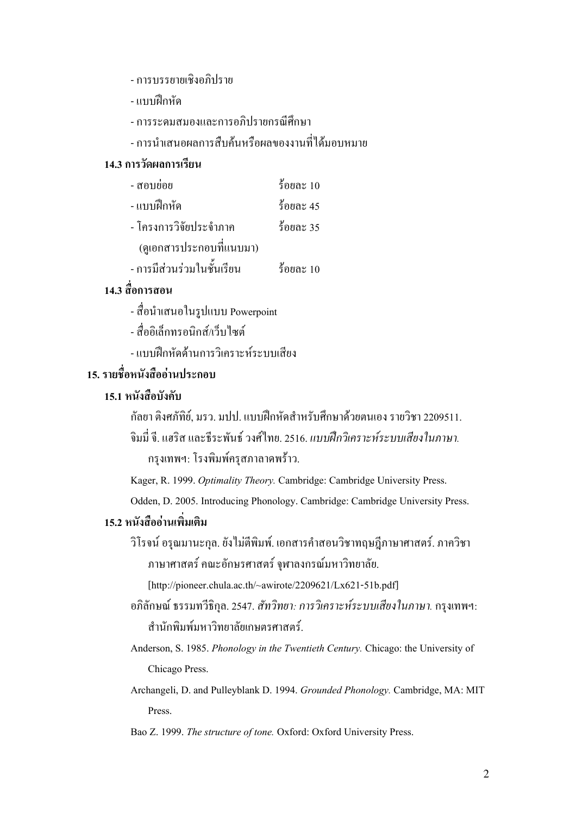- การบรรยายเชิงอภิปราย
- แบบฝึกหัด
- การระดมสมองและการอภิปรายกรณีศึกษา
- การบำเสบอผลการสืบค้บหรือผลของงาบที่ได้บอบหมาย

### 14.3 การวัดผลการเรียน

| - สอบย่อย                  | ร้อยละ $10$ |
|----------------------------|-------------|
| - แบบฝึกหัด                | ร้อยละ 45   |
| - โครงการวิจัยประจำภาค     | ร้อยละ 35   |
| (ดูเอกสารประกอบที่แนบมา)   |             |
| - การมีส่วนร่วมในชั้นเรียน | ร้อยละ 10   |

### 14.3 สื่อการสอน

- สื่อนำเสนอในรูปแบบ Powerpoint
- สื่ออิเล็กทรอบิกส์/เว็บไซต์
- แบบฝึกหัดด้านการวิเคราะห์ระบบเสียง

# 15. รายชื่อหนังสืออ่านประกอบ

### 15.1 หนังสือบังคับ

กัลยา ติงศภัทิย์, มรว. มปป. แบบฝึกหัดสำหรับศึกษาด้วยตนเอง รายวิชา 2209511. จิมมี่ จี. แฮริส และธีระพันธ์ วงศ์ใทย. 2516. *แบบฝึกวิเคราะห์ระบบเสียงในภาษา*. กรุงเทพฯ: โรงพิมพ์ครุสภาลาดพร้าว.

Kager, R. 1999. Optimality Theory. Cambridge: Cambridge University Press.

Odden, D. 2005. Introducing Phonology. Cambridge: Cambridge University Press.

### 15.2 หนังสืออ่านเพิ่มเติม

วิโรจน์ อรุณมานะกุล. ยังไม่ตีพิมพ์. เอกสารคำสอนวิชาทฤษฎีภาษาศาสตร์. ภาควิชา ภาษาศาสตร์ คณะอักษรศาสตร์ จุฬาลงกรณ์มหาวิทยาลัย.

[http://pioneer.chula.ac.th/~awirote/2209621/Lx621-51b.pdf]

อภิลักษณ์ ธรรมทวีธิกุล. 2547. *สัทวิทยา: การวิเคราะห์ระบบเสียงในภาษา*. กรุงเทพฯ: สำนักพิมพ์มหาวิทยาลัยเกษตรศาสตร์

Anderson, S. 1985. Phonology in the Twentieth Century. Chicago: the University of Chicago Press.

Archangeli, D. and Pulleyblank D. 1994. Grounded Phonology. Cambridge, MA: MIT Press.

Bao Z. 1999. The structure of tone. Oxford: Oxford University Press.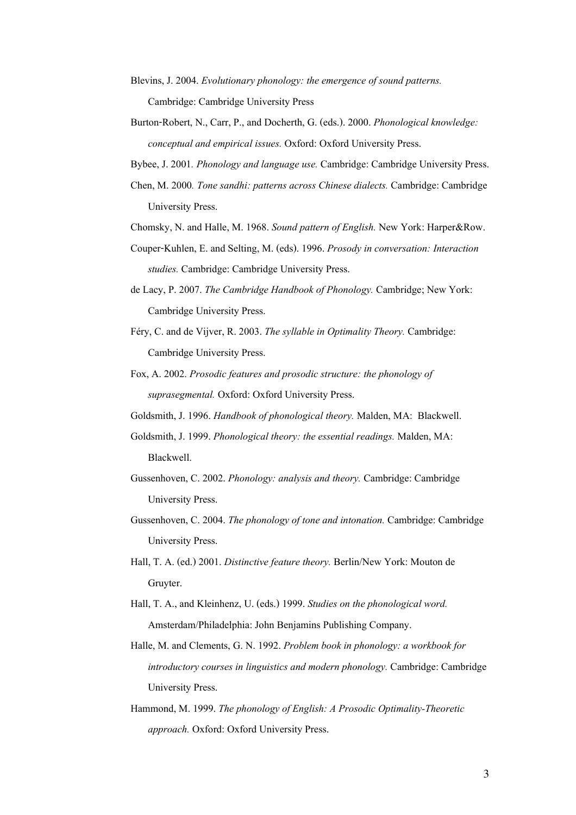- Blevins, J. 2004. Evolutionary phonology: the emergence of sound patterns. Cambridge: Cambridge University Press
- Burton-Robert, N., Carr, P., and Docherth, G. (eds.). 2000. Phonological knowledge: conceptual and empirical issues. Oxford: Oxford University Press.
- Bybee, J. 2001. Phonology and language use. Cambridge: Cambridge University Press.
- Chen, M. 2000. Tone sandhi: patterns across Chinese dialects. Cambridge: Cambridge University Press.
- Chomsky, N. and Halle, M. 1968. Sound pattern of English. New York: Harper&Row.
- Couper-Kuhlen, E. and Selting, M. (eds). 1996. Prosody in conversation: Interaction studies. Cambridge: Cambridge University Press.
- de Lacy, P. 2007. The Cambridge Handbook of Phonology. Cambridge; New York: Cambridge University Press.
- Féry, C. and de Vijver, R. 2003. The syllable in Optimality Theory. Cambridge: Cambridge University Press.
- Fox, A. 2002. Prosodic features and prosodic structure: the phonology of suprasegmental. Oxford: Oxford University Press.
- Goldsmith, J. 1996. Handbook of phonological theory. Malden, MA: Blackwell.
- Goldsmith, J. 1999. Phonological theory: the essential readings. Malden, MA: Blackwell.
- Gussenhoven, C. 2002. Phonology: analysis and theory. Cambridge: Cambridge University Press.
- Gussenhoven, C. 2004. The phonology of tone and intonation. Cambridge: Cambridge University Press.
- Hall, T. A. (ed.) 2001. Distinctive feature theory. Berlin/New York: Mouton de Gruyter.
- Hall, T. A., and Kleinhenz, U. (eds.) 1999. Studies on the phonological word. Amsterdam/Philadelphia: John Benjamins Publishing Company.
- Halle, M. and Clements, G. N. 1992. Problem book in phonology: a workbook for introductory courses in linguistics and modern phonology. Cambridge: Cambridge University Press.
- Hammond, M. 1999. The phonology of English: A Prosodic Optimality-Theoretic approach. Oxford: Oxford University Press.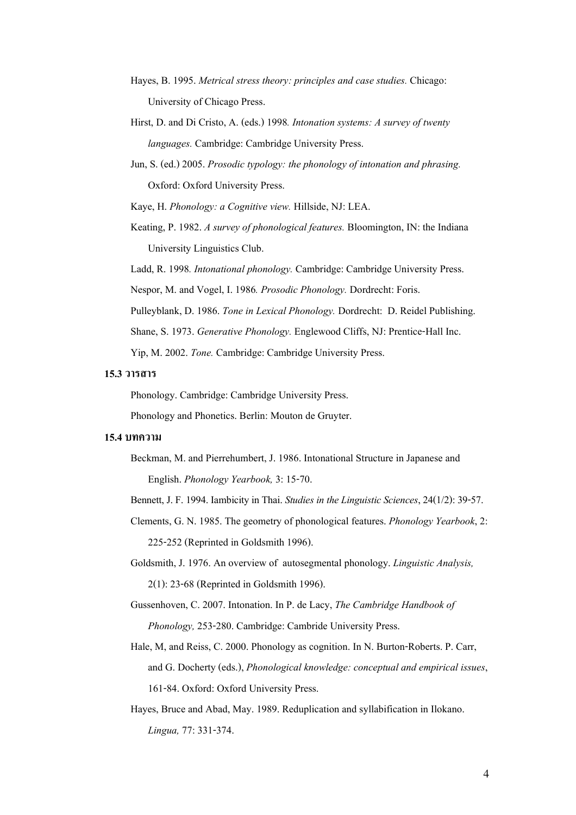- Hayes, B. 1995. Metrical stress theory: principles and case studies. Chicago: University of Chicago Press.
- Hirst, D. and Di Cristo, A. (eds.) 1998. Intonation systems: A survey of twenty languages. Cambridge: Cambridge University Press.
- Jun, S. (ed.) 2005. Prosodic typology: the phonology of intonation and phrasing. Oxford: Oxford University Press.

Kaye, H. Phonology: a Cognitive view. Hillside, NJ: LEA.

Keating, P. 1982. A survey of phonological features. Bloomington, IN: the Indiana University Linguistics Club.

Ladd, R. 1998. Intonational phonology. Cambridge: Cambridge University Press.

Nespor, M. and Vogel, I. 1986. Prosodic Phonology. Dordrecht: Foris.

Pulleyblank, D. 1986. Tone in Lexical Phonology. Dordrecht: D. Reidel Publishing.

Shane, S. 1973. Generative Phonology. Englewood Cliffs, NJ: Prentice-Hall Inc.

Yip, M. 2002. Tone. Cambridge: Cambridge University Press.

### 15.3 วาร<mark>สาร</mark>

Phonology. Cambridge: Cambridge University Press.

Phonology and Phonetics. Berlin: Mouton de Gruyter.

#### 15.4 บทความ

Beckman, M. and Pierrehumbert, J. 1986. Intonational Structure in Japanese and English. Phonology Yearbook, 3: 15-70.

Bennett, J. F. 1994. Iambicity in Thai. Studies in the Linguistic Sciences, 24(1/2): 39-57.

- Clements, G. N. 1985. The geometry of phonological features. Phonology Yearbook, 2: 225-252 (Reprinted in Goldsmith 1996).
- Goldsmith, J. 1976. An overview of autosegmental phonology. Linguistic Analysis, 2(1): 23-68 (Reprinted in Goldsmith 1996).

Gussenhoven, C. 2007. Intonation. In P. de Lacy, The Cambridge Handbook of Phonology, 253-280. Cambridge: Cambride University Press.

- Hale, M, and Reiss, C. 2000. Phonology as cognition. In N. Burton-Roberts. P. Carr, and G. Docherty (eds.), Phonological knowledge: conceptual and empirical issues, 161-84. Oxford: Oxford University Press.
- Hayes, Bruce and Abad, May. 1989. Reduplication and syllabification in Ilokano. Lingua, 77: 331-374.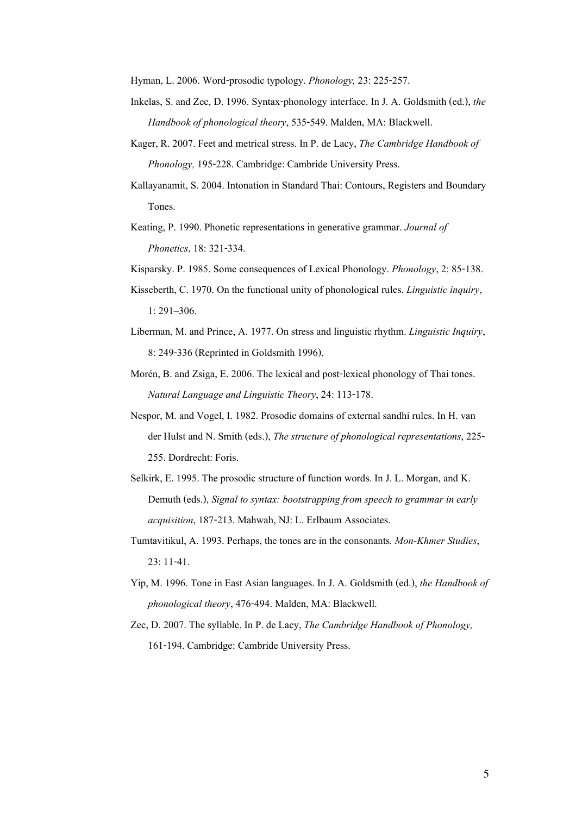Hyman, L. 2006. Word-prosodic typology. Phonology, 23: 225-257.

- Inkelas, S. and Zec, D. 1996. Syntax-phonology interface. In J. A. Goldsmith (ed.), the Handbook of phonological theory, 535-549. Malden, MA: Blackwell.
- Kager, R. 2007. Feet and metrical stress. In P. de Lacy, The Cambridge Handbook of Phonology, 195-228. Cambridge: Cambride University Press.
- Kallayanamit, S. 2004. Intonation in Standard Thai: Contours, Registers and Boundary Tones.
- Keating, P. 1990. Phonetic representations in generative grammar. Journal of Phonetics, 18: 321-334.
- Kisparsky. P. 1985. Some consequences of Lexical Phonology. Phonology, 2: 85-138.
- Kisseberth, C. 1970. On the functional unity of phonological rules. Linguistic inquiry, 1: 291-306.
- Liberman, M. and Prince, A. 1977. On stress and linguistic rhythm. Linguistic Inquiry, 8: 249-336 (Reprinted in Goldsmith 1996).
- Morén, B. and Zsiga, E. 2006. The lexical and post-lexical phonology of Thai tones. Natural Language and Linguistic Theory, 24: 113-178.
- Nespor, M. and Vogel, I. 1982. Prosodic domains of external sandhi rules. In H. van der Hulst and N. Smith (eds.), The structure of phonological representations, 225- 255. Dordrecht: Foris.
- Selkirk, E. 1995. The prosodic structure of function words. In J. L. Morgan, and K. Demuth (eds.), Signal to syntax: bootstrapping from speech to grammar in early acquisition, 187-213. Mahwah, NJ: L. Erlbaum Associates.
- Tumtavitikul, A. 1993. Perhaps, the tones are in the consonants. Mon-Khmer Studies, 23: 11-41.
- Yip, M. 1996. Tone in East Asian languages. In J. A. Goldsmith (ed.), the Handbook of phonological theory, 476-494. Malden, MA: Blackwell.
- Zec, D. 2007. The syllable. In P. de Lacy, The Cambridge Handbook of Phonology, 161-194. Cambridge: Cambride University Press.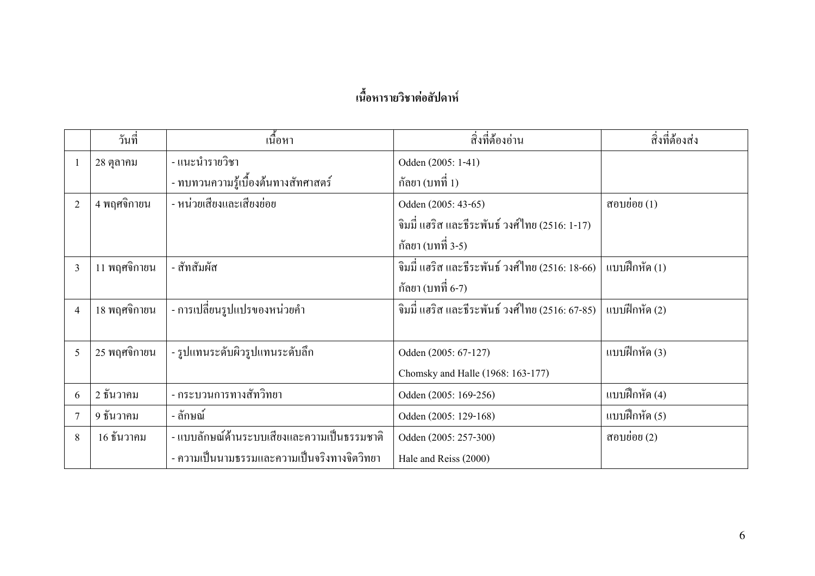# เนื้อหารายวิชาต่อสัปดาห์

|                          | วันที่       | ้เนื้อหา                                    | สิ่งที่ต้องอ่าน                                   | สิ่งที่ต้องส่ง |
|--------------------------|--------------|---------------------------------------------|---------------------------------------------------|----------------|
|                          | 28 ตุลาคม    | - แนะนำรายวิชา                              | Odden (2005: 1-41)                                |                |
|                          |              | - ทบทวนความรู้เบื้องต้นทางสัทศาสตร์         | ึกัลยา (บทที่ 1)                                  |                |
| $\overline{2}$           | 4 พฤศจิกายน  | - หน่วยเสียงและเสียงย่อย                    | Odden (2005: 43-65)                               | สอบย่อย $(1)$  |
|                          |              |                                             | จิมมี่ แฮริส และธีระพันธ์ วงศ์ไทย (2516: 1-17)    |                |
|                          |              |                                             | ึกัลยา (บทที่ 3-5)                                |                |
| 3                        | 11 พฤศจิกายน | - สัทสัมผัส                                 | จิมมี่ แฮริส และธีระพันธ์ วงศ์ไทย (2516: 18-66)   | แบบฝึกหัด (1)  |
|                          |              |                                             | กัลยา (บทที่ 6-7)                                 |                |
| $\overline{\mathcal{A}}$ | 18 พฤศจิกายน | - การเปลี่ยนรูปแปรของหน่วยคำ                | ์ จิมมี่ แฮริส และธีระพันธ์ วงศ์ไทย (2516: 67-85) | แบบฝึกหัด (2)  |
|                          |              |                                             |                                                   |                |
| 5                        | 25 พฤศจิกายน | - รูปแทนระดับผิวรูปแทนระดับลึก              | Odden (2005: 67-127)                              | แบบฝึกหัด (3)  |
|                          |              |                                             | Chomsky and Halle (1968: 163-177)                 |                |
| 6                        | 2 ธันวาคม    | - กระบวนการทางสัทวิทยา                      | Odden (2005: 169-256)                             | แบบฝึกหัด (4)  |
|                          | 9 ธันวาคม    | - ลักษณ์                                    | Odden (2005: 129-168)                             | แบบฝึกหัด (5)  |
| 8                        | 16 ชั้นวาคม  | - แบบลักษณ์ด้านระบบเสียงและความเป็นธรรมชาติ | Odden (2005: 257-300)                             | สอบย่อย (2)    |
|                          |              | - ความเป็นนามธรรมและความเป็นจริงทางจิตวิทยา | Hale and Reiss (2000)                             |                |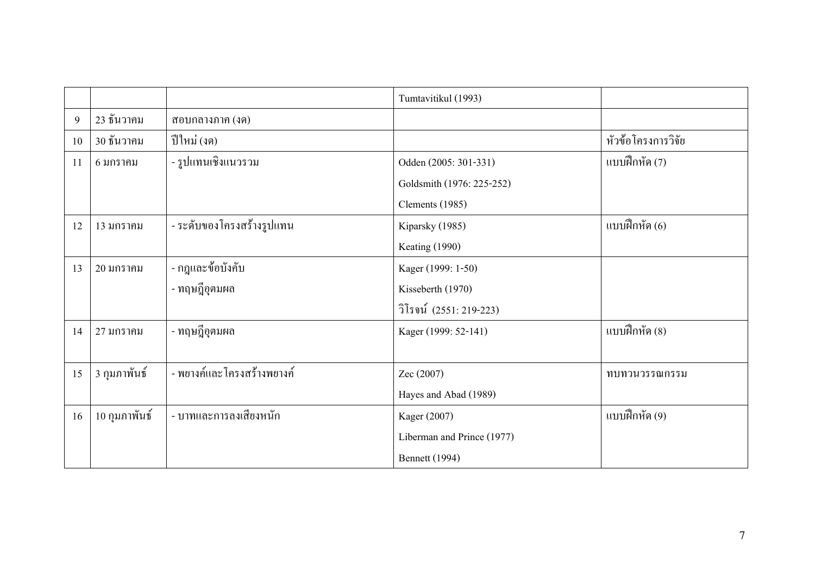|    |               |                             | Tumtavitikul (1993)        |                    |
|----|---------------|-----------------------------|----------------------------|--------------------|
| 9  | 23 ธันวาคม    | สอบกลางภาค (งค)             |                            |                    |
| 10 | 30 ธันวาคม    | ปีใหม่ (งด)                 |                            | หัวข้อโครงการวิจัย |
| 11 | $63$ ภาราคม   | - รูปแทนเชิงแนวรวม          | Odden (2005: 301-331)      | แบบฝึกหัด (7)      |
|    |               |                             | Goldsmith (1976: 225-252)  |                    |
|    |               |                             | Clements (1985)            |                    |
| 12 | 13 มกราคม     | - ระดับของโครงสร้างรูปแทน   | Kiparsky (1985)            | แบบฝึกหัด (6)      |
|    |               |                             | Keating (1990)             |                    |
| 13 | 20 มกราคม     | - กฎและข้อบังคับ            | Kager (1999: 1-50)         |                    |
|    |               | - ทฤษฎีอุตมผล               | Kisseberth (1970)          |                    |
|    |               |                             | วิโรจน์ (2551: 219-223)    |                    |
| 14 | 27 มกราคม     | - ทฤษฎีอุตมผล               | Kager (1999: 52-141)       | แบบฝึกหัด (8)      |
|    |               |                             |                            |                    |
| 15 | 3 กุมภาพันธ์  | - พยางค์และ โครงสร้างพยางค์ | Zec (2007)                 | ทบทวนวรรณกรรม      |
|    |               |                             | Hayes and Abad (1989)      |                    |
| 16 | 10 กุมภาพันธ์ | - บาทและการลงเสียงหนัก      | Kager (2007)               | แบบฝึกหัด (9)      |
|    |               |                             | Liberman and Prince (1977) |                    |
|    |               |                             | <b>Bennett</b> (1994)      |                    |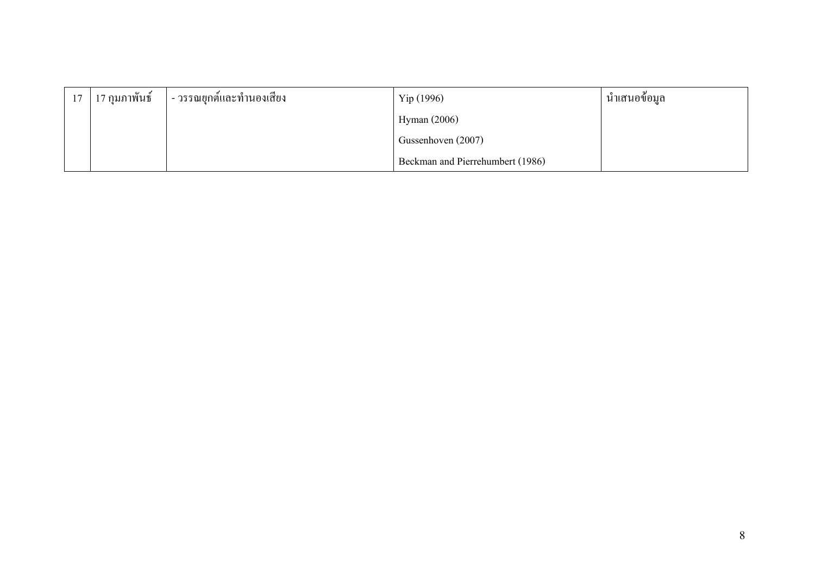| ่ 17 ∣ี่ 17 กุมภาพันธ์ | l - วรรณยุกต์และทำนองเสียง | Yip(1996)                        | นำเสนอข้อมูล |
|------------------------|----------------------------|----------------------------------|--------------|
|                        |                            | Hyman $(2006)$                   |              |
|                        |                            | Gussenhoven (2007)               |              |
|                        |                            | Beckman and Pierrehumbert (1986) |              |